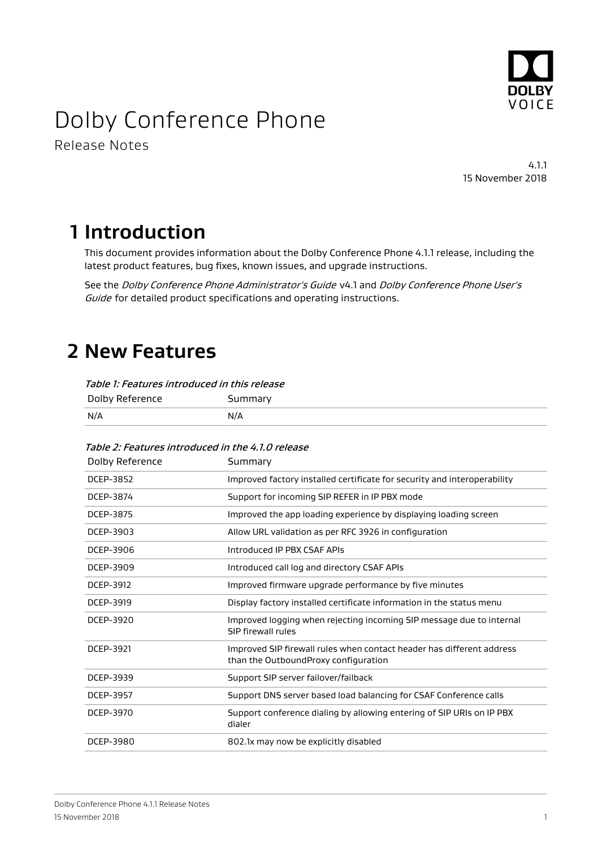

# Dolby Conference Phone

Release Notes

4.1.1 15 November 2018

# **1 Introduction**

This document provides information about the Dolby Conference Phone 4.1.1 release, including the latest product features, bug fixes, known issues, and upgrade instructions.

See the Dolby Conference Phone Administrator's Guide v4.1 and Dolby Conference Phone User's Guide for detailed product specifications and operating instructions.

## **2 New Features**

| Table 1: Features introduced in this release |         |  |
|----------------------------------------------|---------|--|
| Dolby Reference                              | Summary |  |
| N/A                                          | N/A     |  |

#### Table 2: Features introduced in the 4.1.0 release

| Dolby Reference | Summary                                                                                                       |  |  |
|-----------------|---------------------------------------------------------------------------------------------------------------|--|--|
| DCEP-3852       | Improved factory installed certificate for security and interoperability                                      |  |  |
| DCEP-3874       | Support for incoming SIP REFER in IP PBX mode                                                                 |  |  |
| DCEP-3875       | Improved the app loading experience by displaying loading screen                                              |  |  |
| DCEP-3903       | Allow URL validation as per RFC 3926 in configuration                                                         |  |  |
| DCEP-3906       | Introduced IP PBX CSAF APIs                                                                                   |  |  |
| DCEP-3909       | Introduced call log and directory CSAF APIs                                                                   |  |  |
| DCEP-3912       | Improved firmware upgrade performance by five minutes                                                         |  |  |
| DCEP-3919       | Display factory installed certificate information in the status menu                                          |  |  |
| DCEP-3920       | Improved logging when rejecting incoming SIP message due to internal<br>SIP firewall rules                    |  |  |
| DCEP-3921       | Improved SIP firewall rules when contact header has different address<br>than the OutboundProxy configuration |  |  |
| DCEP-3939       | Support SIP server failover/failback                                                                          |  |  |
| DCEP-3957       | Support DNS server based load balancing for CSAF Conference calls                                             |  |  |
| DCEP-3970       | Support conference dialing by allowing entering of SIP URIs on IP PBX<br>dialer                               |  |  |
| DCEP-3980       | 802.1x may now be explicitly disabled                                                                         |  |  |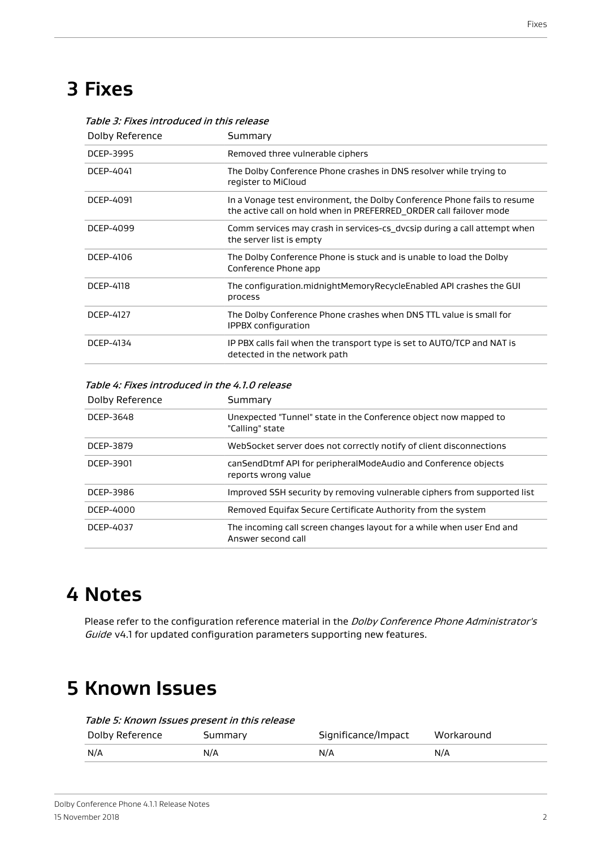# **3 Fixes**

| Dolby Reference | Summary                                                                                                                                        |  |
|-----------------|------------------------------------------------------------------------------------------------------------------------------------------------|--|
| DCEP-3995       | Removed three vulnerable ciphers                                                                                                               |  |
| DCEP-4041       | The Dolby Conference Phone crashes in DNS resolver while trying to<br>register to MiCloud                                                      |  |
| DCEP-4091       | In a Vonage test environment, the Dolby Conference Phone fails to resume<br>the active call on hold when in PREFERRED ORDER call failover mode |  |
| DCEP-4099       | Comm services may crash in services-cs dycsip during a call attempt when<br>the server list is empty                                           |  |
| DCEP-4106       | The Dolby Conference Phone is stuck and is unable to load the Dolby<br>Conference Phone app                                                    |  |
| DCEP-4118       | The configuration.midnightMemoryRecycleEnabled API crashes the GUI<br>process                                                                  |  |
| DCEP-4127       | The Dolby Conference Phone crashes when DNS TTL value is small for<br>IPPBX configuration                                                      |  |
| DCEP-4134       | IP PBX calls fail when the transport type is set to AUTO/TCP and NAT is<br>detected in the network path                                        |  |

#### Table 3: Fixes introduced in this release

Table 4: Fixes introduced in the 4.1.0 release

| Dolby Reference | Summary                                                                                     |  |
|-----------------|---------------------------------------------------------------------------------------------|--|
| DCEP-3648       | Unexpected "Tunnel" state in the Conference object now mapped to<br>"Calling" state         |  |
| DCEP-3879       | WebSocket server does not correctly notify of client disconnections                         |  |
| DCEP-3901       | canSendDtmf API for peripheralModeAudio and Conference objects<br>reports wrong value       |  |
| DCEP-3986       | Improved SSH security by removing vulnerable ciphers from supported list                    |  |
| DCEP-4000       | Removed Equifax Secure Certificate Authority from the system                                |  |
| DCEP-4037       | The incoming call screen changes layout for a while when user End and<br>Answer second call |  |

#### **4 Notes**

Please refer to the configuration reference material in the Dolby Conference Phone Administrator's Guide v4.1 for updated configuration parameters supporting new features.

### **5 Known Issues**

Table 5: Known Issues present in this release

| Dolby Reference | Summary | Significance/Impact | Workaround |
|-----------------|---------|---------------------|------------|
| N/A             | N/A     | N/A                 | N/A        |